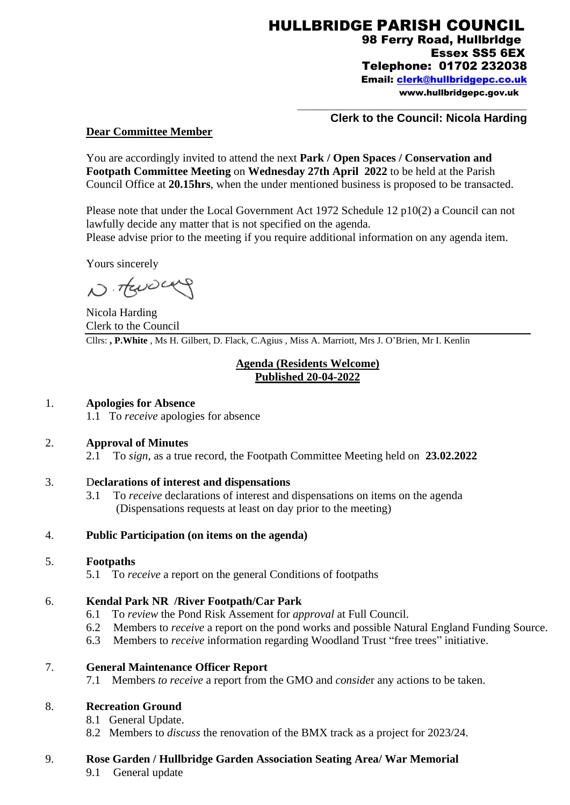\_\_\_\_\_\_\_\_\_\_\_\_\_\_\_\_\_\_\_\_\_\_\_\_\_\_\_\_\_\_\_\_\_\_\_\_\_\_\_\_\_\_\_\_\_\_\_\_

### **Clerk to the Council: Nicola Harding**

#### **Dear Committee Member**

You are accordingly invited to attend the next **Park / Open Spaces / Conservation and Footpath Committee Meeting** on **Wednesday 27th April 2022** to be held at the Parish Council Office at **20.15hrs**, when the under mentioned business is proposed to be transacted.

Please note that under the Local Government Act 1972 Schedule 12 p10(2) a Council can not lawfully decide any matter that is not specified on the agenda. Please advise prior to the meeting if you require additional information on any agenda item.

Yours sincerely

N. TENDLAY

Nicola Harding Clerk to the Council Cllrs: **, P.White** , Ms H. Gilbert, D. Flack, C.Agius , Miss A. Marriott, Mrs J. O'Brien, Mr I. Kenlin

## **Agenda (Residents Welcome) Published 20-04-2022**

### 1. **Apologies for Absence**

1.1 To *receive* apologies for absence

#### 2. **Approval of Minutes**

2.1 To *sign*, as a true record, the Footpath Committee Meeting held on **23.02.2022**

#### 3. D**eclarations of interest and dispensations**

3.1 To *receive* declarations of interest and dispensations on items on the agenda (Dispensations requests at least on day prior to the meeting)

#### 4. **Public Participation (on items on the agenda)**

#### 5. **Footpaths**

5.1 To *receive* a report on the general Conditions of footpaths

## 6. **Kendal Park NR /River Footpath/Car Park**

- 6.1 To *review* the Pond Risk Assement for *approval* at Full Council.
- 6.2 Members to *receive* a report on the pond works and possible Natural England Funding Source.
- 6.3 Members to *receive* information regarding Woodland Trust "free trees" initiative.

### 7. **General Maintenance Officer Report**

7.1 Members *to receive* a report from the GMO and *conside*r any actions to be taken.

## 8. **Recreation Ground**

- 8.1 General Update.
- 8.2 Members to *discuss* the renovation of the BMX track as a project for 2023/24.

#### 9. **Rose Garden / Hullbridge Garden Association Seating Area/ War Memorial**

9.1 General update